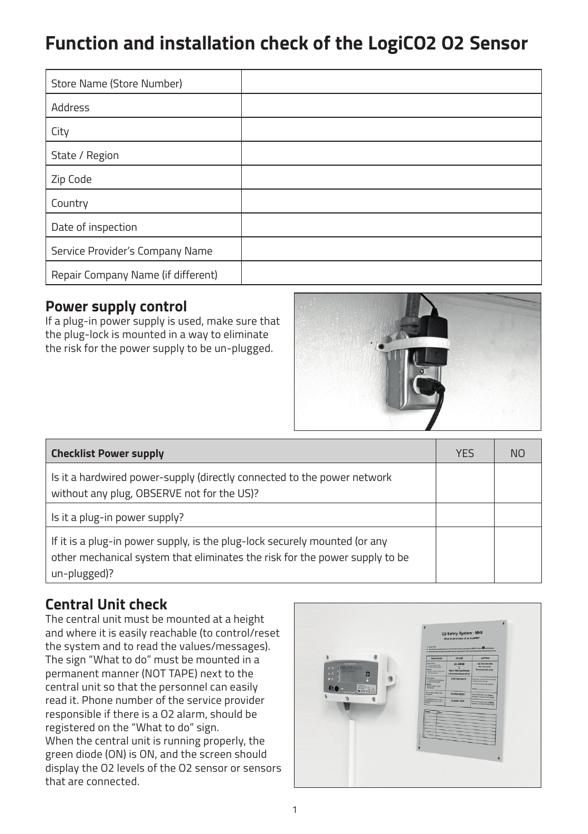# **Function and installation check of the LogiCO2 O2 Sensor**

| Store Name (Store Number)          |  |
|------------------------------------|--|
| Address                            |  |
| City                               |  |
| State / Region                     |  |
| Zip Code                           |  |
| Country                            |  |
| Date of inspection                 |  |
| Service Provider's Company Name    |  |
| Repair Company Name (if different) |  |

#### **Power supply control**

If a plug-in power supply is used, make sure that the plug-lock is mounted in a way to eliminate the risk for the power supply to be un-plugged.



| <b>Checklist Power supply</b>                                                                                                                                             |  | NO. |
|---------------------------------------------------------------------------------------------------------------------------------------------------------------------------|--|-----|
| Is it a hardwired power-supply (directly connected to the power network<br>without any plug, OBSERVE not for the US)?                                                     |  |     |
| Is it a plug-in power supply?                                                                                                                                             |  |     |
| If it is a plug-in power supply, is the plug-lock securely mounted (or any<br>other mechanical system that eliminates the risk for the power supply to be<br>un-plugged)? |  |     |

# **Central Unit check**

The central unit must be mounted at a height and where it is easily reachable (to control/reset the system and to read the values/messages). The sign "What to do" must be mounted in a permanent manner (NOT TAPE) next to the central unit so that the personnel can easily read it. Phone number of the service provider responsible if there is a O2 alarm, should be registered on the "What to do" sign. When the central unit is running properly, the green diode (ON) is ON, and the screen should display the O2 levels of the O2 sensor or sensors that are connected.

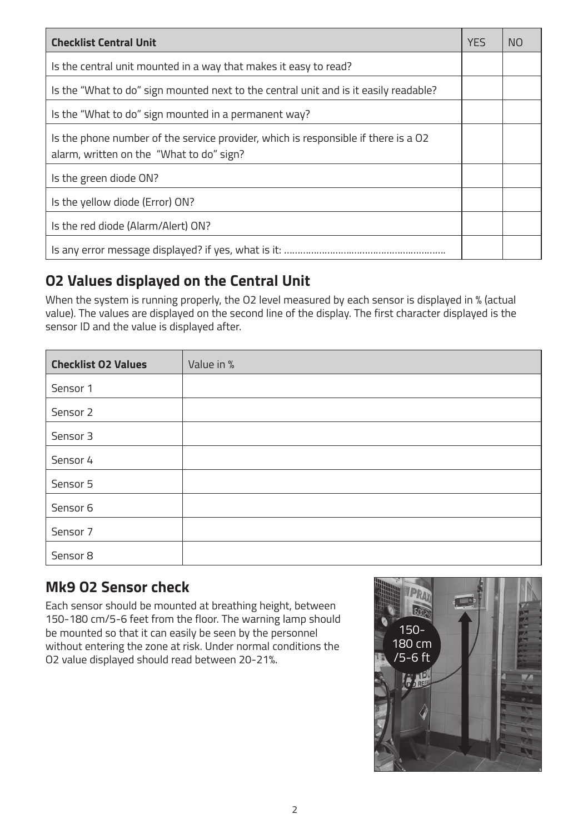| <b>Checklist Central Unit</b>                                                                                                  | <b>YES</b> | N <sub>O</sub> |
|--------------------------------------------------------------------------------------------------------------------------------|------------|----------------|
| Is the central unit mounted in a way that makes it easy to read?                                                               |            |                |
| Is the "What to do" sign mounted next to the central unit and is it easily readable?                                           |            |                |
| Is the "What to do" sign mounted in a permanent way?                                                                           |            |                |
| Is the phone number of the service provider, which is responsible if there is a O2<br>alarm, written on the "What to do" sign? |            |                |
| Is the green diode ON?                                                                                                         |            |                |
| Is the yellow diode (Error) ON?                                                                                                |            |                |
| Is the red diode (Alarm/Alert) ON?                                                                                             |            |                |
|                                                                                                                                |            |                |

# **O2 Values displayed on the Central Unit**

When the system is running properly, the O2 level measured by each sensor is displayed in % (actual value). The values are displayed on the second line of the display. The first character displayed is the sensor ID and the value is displayed after.

| <b>Checklist O2 Values</b> | Value in % |
|----------------------------|------------|
| Sensor 1                   |            |
| Sensor 2                   |            |
| Sensor 3                   |            |
| Sensor 4                   |            |
| Sensor 5                   |            |
| Sensor <sub>6</sub>        |            |
| Sensor 7                   |            |
| Sensor 8                   |            |

### **Mk9 O2 Sensor check**

Each sensor should be mounted at breathing height, between 150-180 cm/5-6 feet from the floor. The warning lamp should be mounted so that it can easily be seen by the personnel without entering the zone at risk. Under normal conditions the O2 value displayed should read between 20-21%.

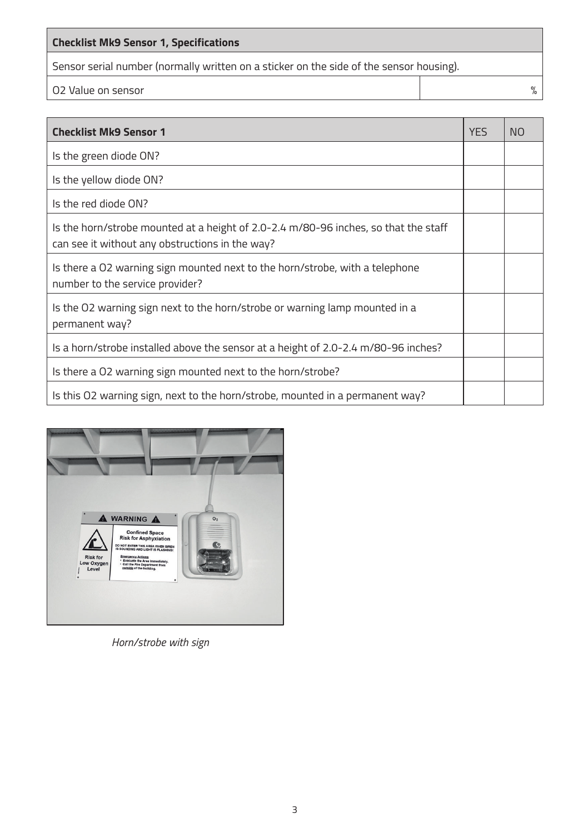#### **Checklist Mk9 Sensor 1, Specifications**

Sensor serial number (normally written on a sticker on the side of the sensor housing).

O2 Value on sensor  $\%$ 

| <b>Checklist Mk9 Sensor 1</b>                                                                                                          | YES | <b>NO</b> |
|----------------------------------------------------------------------------------------------------------------------------------------|-----|-----------|
| Is the green diode ON?                                                                                                                 |     |           |
| Is the yellow diode ON?                                                                                                                |     |           |
| Is the red diode ON?                                                                                                                   |     |           |
| Is the horn/strobe mounted at a height of 2.0-2.4 m/80-96 inches, so that the staff<br>can see it without any obstructions in the way? |     |           |
| Is there a O2 warning sign mounted next to the horn/strobe, with a telephone<br>number to the service provider?                        |     |           |
| Is the O2 warning sign next to the horn/strobe or warning lamp mounted in a<br>permanent way?                                          |     |           |
| Is a horn/strobe installed above the sensor at a height of 2.0-2.4 m/80-96 inches?                                                     |     |           |
| Is there a O2 warning sign mounted next to the horn/strobe?                                                                            |     |           |
| Is this 02 warning sign, next to the horn/strobe, mounted in a permanent way?                                                          |     |           |



*Horn/strobe with sign*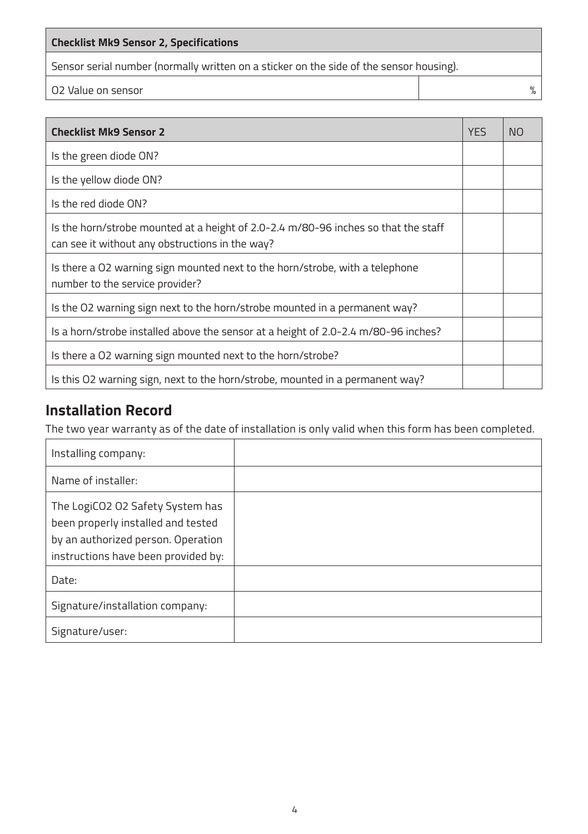#### **Checklist Mk9 Sensor 2, Specifications**

Sensor serial number (normally written on a sticker on the side of the sensor housing).

O2 Value on sensor  $\%$ 

| <b>Checklist Mk9 Sensor 2</b>                                                                                                         | <b>YES</b> | N <sub>O</sub> |
|---------------------------------------------------------------------------------------------------------------------------------------|------------|----------------|
| Is the green diode ON?                                                                                                                |            |                |
| Is the yellow diode ON?                                                                                                               |            |                |
| Is the red diode ON?                                                                                                                  |            |                |
| Is the horn/strobe mounted at a height of 2.0-2.4 m/80-96 inches so that the staff<br>can see it without any obstructions in the way? |            |                |
| Is there a 02 warning sign mounted next to the horn/strobe, with a telephone<br>number to the service provider?                       |            |                |
| Is the O2 warning sign next to the horn/strobe mounted in a permanent way?                                                            |            |                |
| Is a horn/strobe installed above the sensor at a height of 2.0-2.4 m/80-96 inches?                                                    |            |                |
| Is there a O2 warning sign mounted next to the horn/strobe?                                                                           |            |                |
| Is this 02 warning sign, next to the horn/strobe, mounted in a permanent way?                                                         |            |                |

# **Installation Record**

The two year warranty as of the date of installation is only valid when this form has been completed.

| Installing company:                                                                                                                                 |  |
|-----------------------------------------------------------------------------------------------------------------------------------------------------|--|
| Name of installer:                                                                                                                                  |  |
| The LogiCO2 O2 Safety System has<br>been properly installed and tested<br>by an authorized person. Operation<br>instructions have been provided by: |  |
| Date:                                                                                                                                               |  |
| Signature/installation company:                                                                                                                     |  |
| Signature/user:                                                                                                                                     |  |